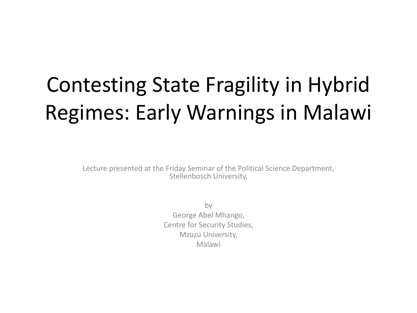#### Contesting State Fragility in Hybrid Regimes: Early Warnings in Malawi

Lecture presented at the Friday Seminar of the Political Science Department, Stellenbosch University,

> by George Abel Mhango, Centre for Security Studies, Mzuzu University, Malawi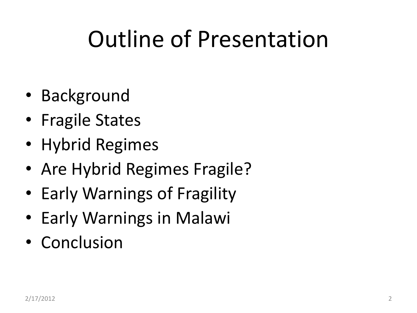#### Outline of Presentation

- Background
- Fragile States
- Hybrid Regimes
- Are Hybrid Regimes Fragile?
- Early Warnings of Fragility
- Early Warnings in Malawi
- Conclusion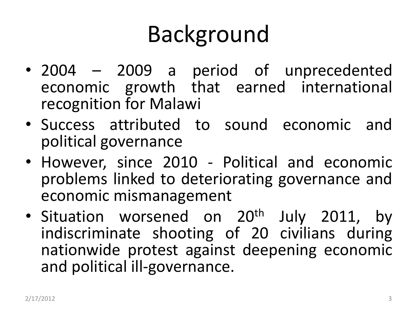#### Background

- 2004 2009 a period of unprecedented economic growth that earned international recognition for Malawi
- Success attributed to sound economic and political governance
- However, since 2010 Political and economic problems linked to deteriorating governance and economic mismanagement
- Situation worsened on 20<sup>th</sup> July 2011, by indiscriminate shooting of 20 civilians during nationwide protest against deepening economic and political ill-governance.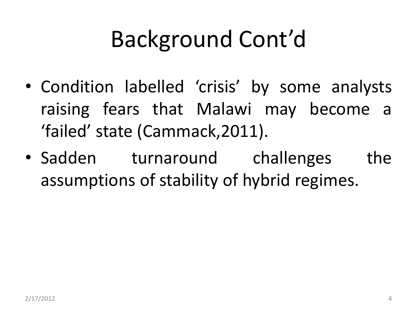#### Background Cont'd

- Condition labelled 'crisis' by some analysts raising fears that Malawi may become a 'failed' state (Cammack,2011).
- Sadden turnaround challenges the assumptions of stability of hybrid regimes.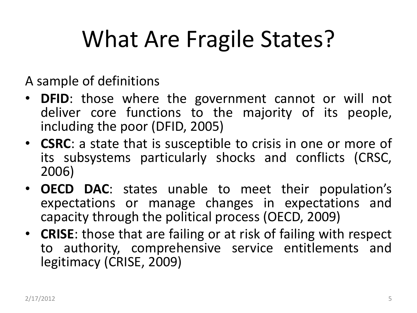#### What Are Fragile States?

A sample of definitions

- **DFID**: those where the government cannot or will not deliver core functions to the majority of its people, including the poor (DFID, 2005)
- **CSRC**: a state that is susceptible to crisis in one or more of its subsystems particularly shocks and conflicts (CRSC, 2006)
- **OECD DAC**: states unable to meet their population's expectations or manage changes in expectations and capacity through the political process (OECD, 2009)
- **CRISE**: those that are failing or at risk of failing with respect to authority, comprehensive service entitlements and legitimacy (CRISE, 2009)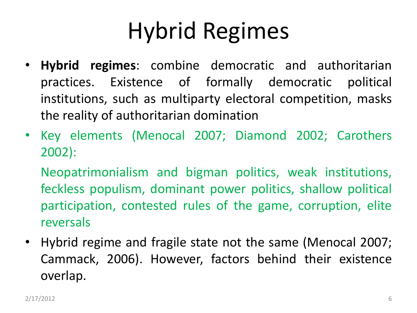#### Hybrid Regimes

- **Hybrid regimes**: combine democratic and authoritarian practices. Existence of formally democratic political institutions, such as multiparty electoral competition, masks the reality of authoritarian domination
- Key elements (Menocal 2007; Diamond 2002; Carothers 2002):

Neopatrimonialism and bigman politics, weak institutions, feckless populism, dominant power politics, shallow political participation, contested rules of the game, corruption, elite reversals

• Hybrid regime and fragile state not the same (Menocal 2007; Cammack, 2006). However, factors behind their existence overlap.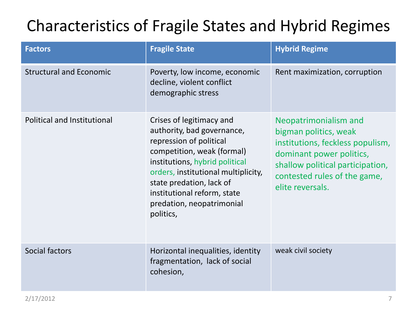#### Characteristics of Fragile States and Hybrid Regimes

| <b>Factors</b>                 | <b>Fragile State</b>                                                                                                                                                                                                                                                                          | <b>Hybrid Regime</b>                                                                                                                                                                                   |
|--------------------------------|-----------------------------------------------------------------------------------------------------------------------------------------------------------------------------------------------------------------------------------------------------------------------------------------------|--------------------------------------------------------------------------------------------------------------------------------------------------------------------------------------------------------|
| <b>Structural and Economic</b> | Poverty, low income, economic<br>decline, violent conflict<br>demographic stress                                                                                                                                                                                                              | Rent maximization, corruption                                                                                                                                                                          |
| Political and Institutional    | Crises of legitimacy and<br>authority, bad governance,<br>repression of political<br>competition, weak (formal)<br>institutions, hybrid political<br>orders, institutional multiplicity,<br>state predation, lack of<br>institutional reform, state<br>predation, neopatrimonial<br>politics, | Neopatrimonialism and<br>bigman politics, weak<br>institutions, feckless populism,<br>dominant power politics,<br>shallow political participation,<br>contested rules of the game,<br>elite reversals. |
| Social factors                 | Horizontal inequalities, identity<br>fragmentation, lack of social<br>cohesion,                                                                                                                                                                                                               | weak civil society                                                                                                                                                                                     |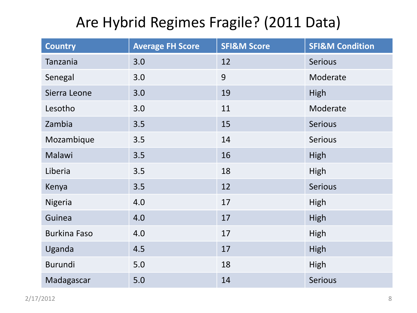#### Are Hybrid Regimes Fragile? (2011 Data)

| <b>Country</b>      | <b>Average FH Score</b> | <b>SFI&amp;M Score</b> | <b>SFI&amp;M Condition</b> |
|---------------------|-------------------------|------------------------|----------------------------|
| Tanzania            | 3.0                     | 12                     | <b>Serious</b>             |
| Senegal             | 3.0                     | 9                      | Moderate                   |
| Sierra Leone        | 3.0                     | 19                     | High                       |
| Lesotho             | 3.0                     | 11                     | Moderate                   |
| Zambia              | 3.5                     | 15                     | <b>Serious</b>             |
| Mozambique          | 3.5                     | 14                     | <b>Serious</b>             |
| Malawi              | 3.5                     | 16                     | High                       |
| Liberia             | 3.5                     | 18                     | High                       |
| Kenya               | 3.5                     | 12                     | Serious                    |
| <b>Nigeria</b>      | 4.0                     | 17                     | High                       |
| Guinea              | 4.0                     | 17                     | High                       |
| <b>Burkina Faso</b> | 4.0                     | 17                     | High                       |
| Uganda              | 4.5                     | 17                     | High                       |
| Burundi             | 5.0                     | 18                     | High                       |
| Madagascar          | 5.0                     | 14                     | <b>Serious</b>             |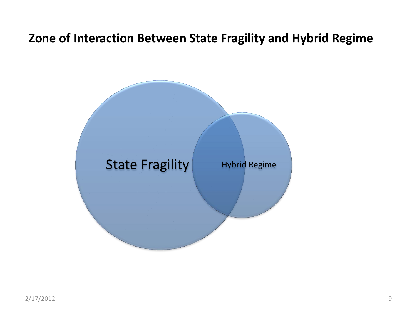#### **Zone of Interaction Between State Fragility and Hybrid Regime**

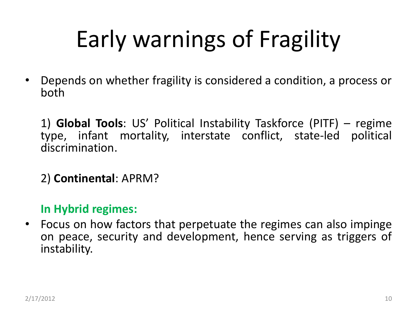## Early warnings of Fragility

• Depends on whether fragility is considered a condition, a process or both

1) **Global Tools**: US' Political Instability Taskforce (PITF) – regime type, infant mortality, interstate conflict, state-led political discrimination.

2) **Continental**: APRM?

**In Hybrid regimes:**

• Focus on how factors that perpetuate the regimes can also impinge on peace, security and development, hence serving as triggers of instability.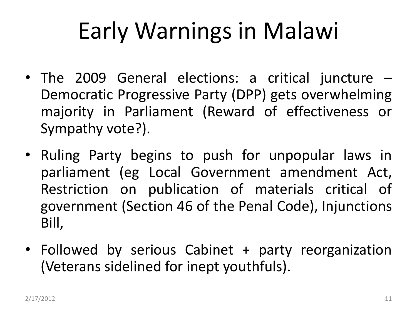#### Early Warnings in Malawi

- The 2009 General elections: a critical juncture Democratic Progressive Party (DPP) gets overwhelming majority in Parliament (Reward of effectiveness or Sympathy vote?).
- Ruling Party begins to push for unpopular laws in parliament (eg Local Government amendment Act, Restriction on publication of materials critical of government (Section 46 of the Penal Code), Injunctions Bill,
- Followed by serious Cabinet + party reorganization (Veterans sidelined for inept youthfuls).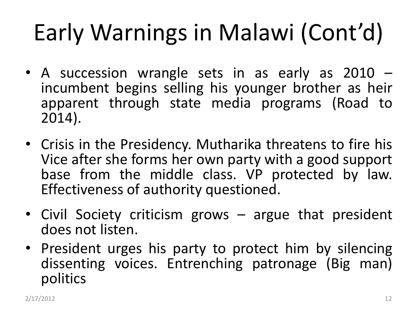- A succession wrangle sets in as early as 2010 incumbent begins selling his younger brother as heir apparent through state media programs (Road to 2014).
- Crisis in the Presidency. Mutharika threatens to fire his Vice after she forms her own party with a good support base from the middle class. VP protected by law. Effectiveness of authority questioned.
- Civil Society criticism grows argue that president does not listen.
- President urges his party to protect him by silencing dissenting voices. Entrenching patronage (Big man) politics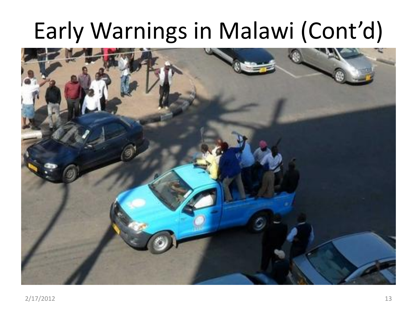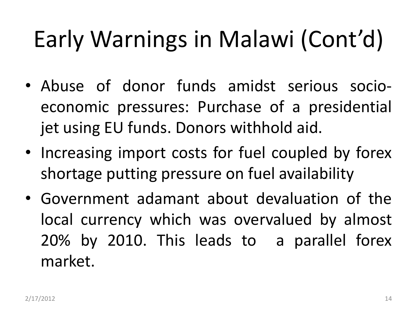- Abuse of donor funds amidst serious socioeconomic pressures: Purchase of a presidential jet using EU funds. Donors withhold aid.
- Increasing import costs for fuel coupled by forex shortage putting pressure on fuel availability
- Government adamant about devaluation of the local currency which was overvalued by almost 20% by 2010. This leads to a parallel forex market.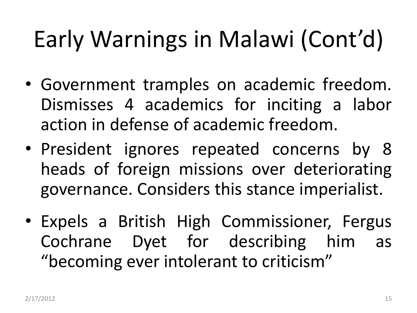- Government tramples on academic freedom. Dismisses 4 academics for inciting a labor action in defense of academic freedom.
- President ignores repeated concerns by 8 heads of foreign missions over deteriorating governance. Considers this stance imperialist.
- Expels a British High Commissioner, Fergus Cochrane Dyet for describing him as "becoming ever intolerant to criticism"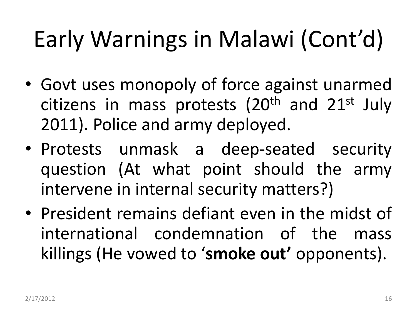- Govt uses monopoly of force against unarmed citizens in mass protests  $(20<sup>th</sup>$  and  $21<sup>st</sup>$  July 2011). Police and army deployed.
- Protests unmask a deep-seated security question (At what point should the army intervene in internal security matters?)
- President remains defiant even in the midst of international condemnation of the mass killings (He vowed to '**smoke out'** opponents).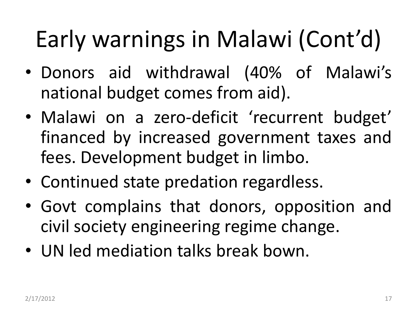- Donors aid withdrawal (40% of Malawi's national budget comes from aid).
- Malawi on a zero-deficit 'recurrent budget' financed by increased government taxes and fees. Development budget in limbo.
- Continued state predation regardless.
- Govt complains that donors, opposition and civil society engineering regime change.
- UN led mediation talks break bown.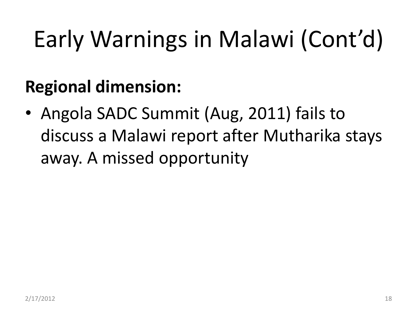#### **Regional dimension:**

• Angola SADC Summit (Aug, 2011) fails to discuss a Malawi report after Mutharika stays away. A missed opportunity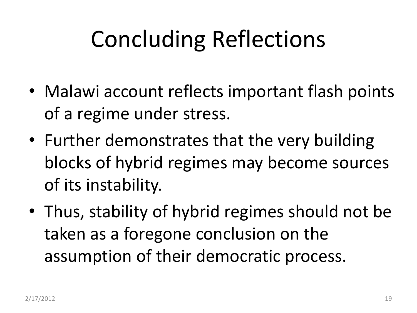### Concluding Reflections

- Malawi account reflects important flash points of a regime under stress.
- Further demonstrates that the very building blocks of hybrid regimes may become sources of its instability.
- Thus, stability of hybrid regimes should not be taken as a foregone conclusion on the assumption of their democratic process.